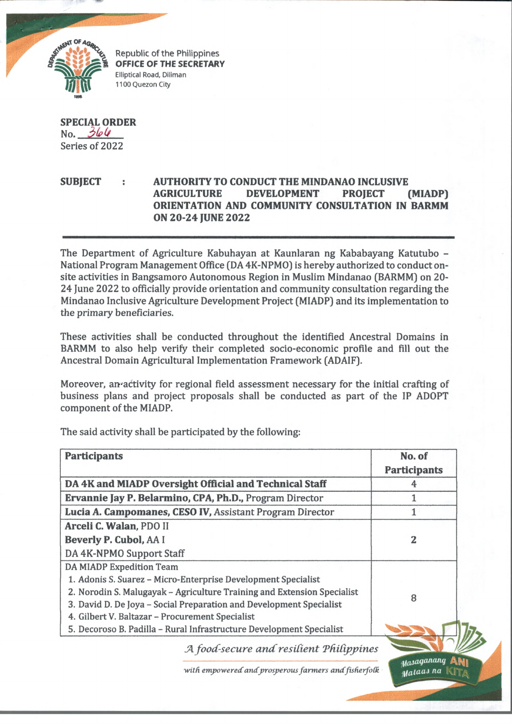

Republic of the Philippines OFFICE OF THE SECRETARY Elliptical Road, Diliman 1100 Quezon City

**SPECIAL ORDER**  $No. 364$ Series of 2022

## **SUBJECT AUTHORITY TO CONDUCT THE MINDANAO INCLUSIVE AGRICULTURE DEVELOPMENT PROJECT (MIADP) ORIENTATION AND COMMUNITY CONSULTATION IN BARMM ON 20-24 JUNE 2022**

The Department of Agriculture Kabuhayan at Kaunlaran ng Kababayang Katutubo - National Program Management Office (DA 4K-NPMO) is hereby authorized to conduct onsite activities in Bangsamoro Autonomous Region in Muslim Mindanao (BARMM) on 20- 24 June 2022 to officially provide orientation and community consultation regarding the Mindanao Inclusive Agriculture Development Project (MIADP) and its implementation to the primary beneficiaries.

These activities shall be conducted throughout the identified Ancestral Domains in BARMM to also help verify their completed socio-economic profile and fill out the Ancestral Domain Agricultural Implementation Framework (ADAIF).

Moreover, amactivity for regional field assessment necessary for the initial crafting of business plans and project proposals shall be conducted as part of the IP ADOPT component of the MIADP.

| <b>Participants</b>                                                     |                                                      | No. of<br><b>Participants</b> |
|-------------------------------------------------------------------------|------------------------------------------------------|-------------------------------|
| DA 4K and MIADP Oversight Official and Technical Staff                  |                                                      |                               |
| Ervannie Jay P. Belarmino, CPA, Ph.D., Program Director                 |                                                      | 1                             |
| Lucia A. Campomanes, CESO IV, Assistant Program Director                |                                                      | 1                             |
| Arceli C. Walan, PDO II                                                 |                                                      |                               |
| Beverly P. Cubol, AA I                                                  | 2                                                    |                               |
| DA 4K-NPMO Support Staff                                                |                                                      |                               |
| <b>DA MIADP Expedition Team</b>                                         |                                                      |                               |
| 1. Adonis S. Suarez - Micro-Enterprise Development Specialist           |                                                      |                               |
| 2. Norodin S. Malugayak - Agriculture Training and Extension Specialist | 8                                                    |                               |
| 3. David D. De Joya - Social Preparation and Development Specialist     |                                                      |                               |
| 4. Gilbert V. Baltazar - Procurement Specialist                         |                                                      |                               |
| 5. Decoroso B. Padilla - Rural Infrastructure Development Specialist    |                                                      |                               |
|                                                                         | A food-secure and resilient Philippines              |                               |
|                                                                         | with empowered and prosperous farmers and fisherfolk | Masaganang<br>atalaas na      |

The said activity shall be participated by the following:

stataas na